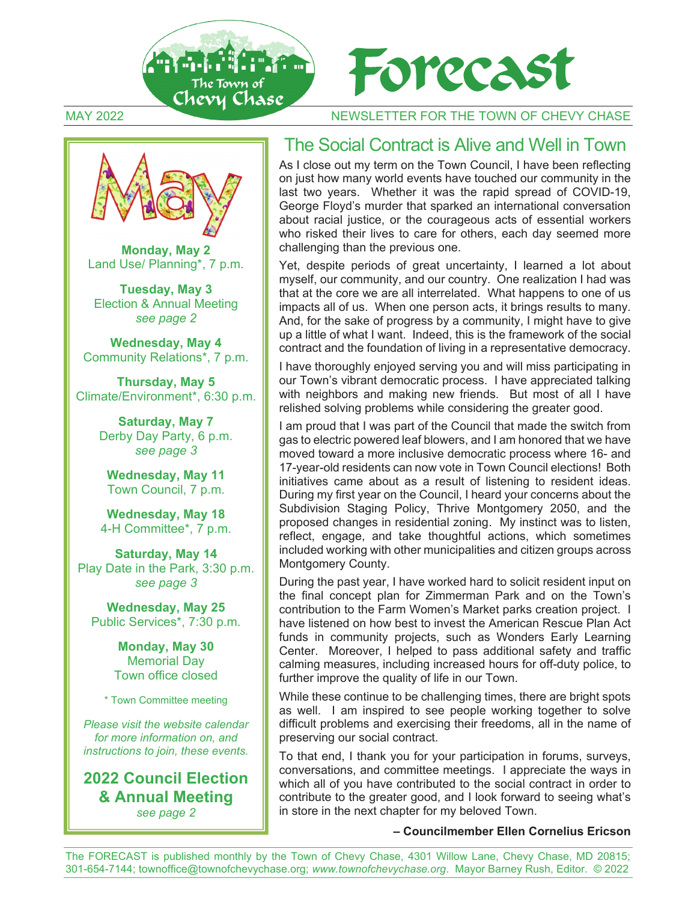





**Monday, May 2** Land Use/ Planning\*, 7 p.m.

**Tuesday, May 3** Election & Annual Meeting *see page 2* 

**Wednesday, May 4** Community Relations\*, 7 p.m.

**Thursday, May 5** Climate/Environment\*, 6:30 p.m.

> **Saturday, May 7** Derby Day Party, 6 p.m. *see page 3*

**Wednesday, May 11**  Town Council, 7 p.m.

**Wednesday, May 18**  4-H Committee\*, 7 p.m.

**Saturday, May 14**  Play Date in the Park, 3:30 p.m. *see page 3*

**Wednesday, May 25** Public Services\*, 7:30 p.m.

> **Monday, May 30** Memorial Day Town office closed

\* Town Committee meeting

*Please visit the website calendar for more information on, and instructions to join, these events.* 

**2022 Council Election & Annual Meeting**  *see page 2* 

#### The Social Contract is Alive and Well in Town

As I close out my term on the Town Council, I have been reflecting on just how many world events have touched our community in the last two years. Whether it was the rapid spread of COVID-19, George Floyd's murder that sparked an international conversation about racial justice, or the courageous acts of essential workers who risked their lives to care for others, each day seemed more challenging than the previous one.

Yet, despite periods of great uncertainty, I learned a lot about myself, our community, and our country. One realization I had was that at the core we are all interrelated. What happens to one of us impacts all of us. When one person acts, it brings results to many. And, for the sake of progress by a community, I might have to give up a little of what I want. Indeed, this is the framework of the social contract and the foundation of living in a representative democracy.

I have thoroughly enjoyed serving you and will miss participating in our Town's vibrant democratic process. I have appreciated talking with neighbors and making new friends. But most of all I have relished solving problems while considering the greater good.

I am proud that I was part of the Council that made the switch from gas to electric powered leaf blowers, and I am honored that we have moved toward a more inclusive democratic process where 16- and 17-year-old residents can now vote in Town Council elections! Both initiatives came about as a result of listening to resident ideas. During my first year on the Council, I heard your concerns about the Subdivision Staging Policy, Thrive Montgomery 2050, and the proposed changes in residential zoning. My instinct was to listen, reflect, engage, and take thoughtful actions, which sometimes included working with other municipalities and citizen groups across Montgomery County.

During the past year, I have worked hard to solicit resident input on the final concept plan for Zimmerman Park and on the Town's contribution to the Farm Women's Market parks creation project. I have listened on how best to invest the American Rescue Plan Act funds in community projects, such as Wonders Early Learning Center. Moreover, I helped to pass additional safety and traffic calming measures, including increased hours for off-duty police, to further improve the quality of life in our Town.

While these continue to be challenging times, there are bright spots as well. I am inspired to see people working together to solve difficult problems and exercising their freedoms, all in the name of preserving our social contract.

To that end, I thank you for your participation in forums, surveys, conversations, and committee meetings. I appreciate the ways in which all of you have contributed to the social contract in order to contribute to the greater good, and I look forward to seeing what's in store in the next chapter for my beloved Town.

#### **– Councilmember Ellen Cornelius Ericson**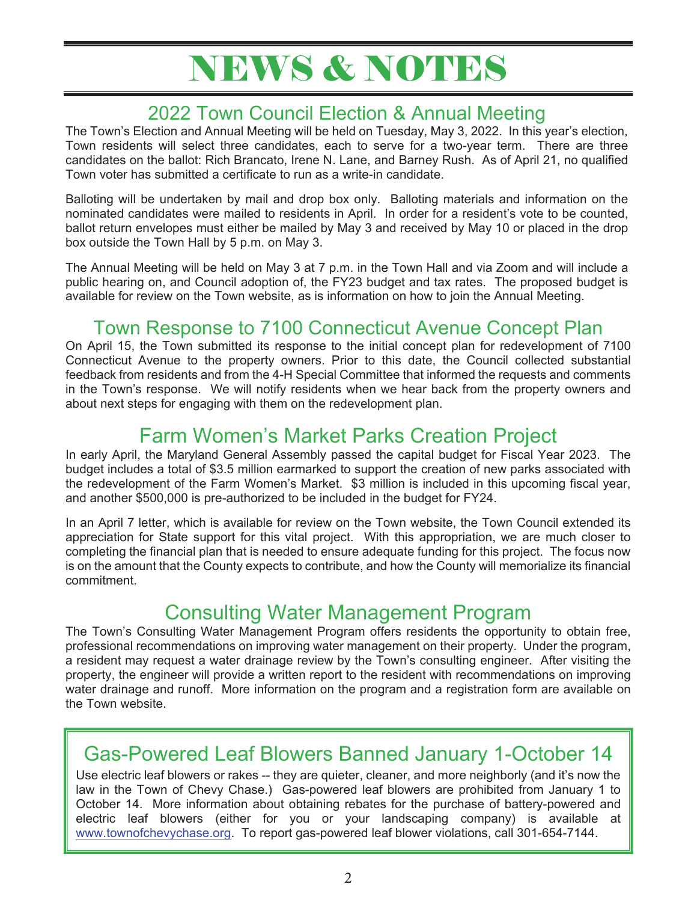# NEWS & NOTES

### 2022 Town Council Election & Annual Meeting

The Town's Election and Annual Meeting will be held on Tuesday, May 3, 2022. In this year's election, Town residents will select three candidates, each to serve for a two-year term. There are three candidates on the ballot: Rich Brancato, Irene N. Lane, and Barney Rush. As of April 21, no qualified Town voter has submitted a certificate to run as a write-in candidate.

Balloting will be undertaken by mail and drop box only. Balloting materials and information on the nominated candidates were mailed to residents in April. In order for a resident's vote to be counted, ballot return envelopes must either be mailed by May 3 and received by May 10 or placed in the drop box outside the Town Hall by 5 p.m. on May 3.

The Annual Meeting will be held on May 3 at 7 p.m. in the Town Hall and via Zoom and will include a public hearing on, and Council adoption of, the FY23 budget and tax rates. The proposed budget is available for review on the Town website, as is information on how to join the Annual Meeting.

### Town Response to 7100 Connecticut Avenue Concept Plan

On April 15, the Town submitted its response to the initial concept plan for redevelopment of 7100 Connecticut Avenue to the property owners. Prior to this date, the Council collected substantial feedback from residents and from the 4-H Special Committee that informed the requests and comments in the Town's response. We will notify residents when we hear back from the property owners and about next steps for engaging with them on the redevelopment plan.

## Farm Women's Market Parks Creation Project

In early April, the Maryland General Assembly passed the capital budget for Fiscal Year 2023. The budget includes a total of \$3.5 million earmarked to support the creation of new parks associated with the redevelopment of the Farm Women's Market. \$3 million is included in this upcoming fiscal year, and another \$500,000 is pre-authorized to be included in the budget for FY24.

In an April 7 letter, which is available for review on the Town website, the Town Council extended its appreciation for State support for this vital project. With this appropriation, we are much closer to completing the financial plan that is needed to ensure adequate funding for this project. The focus now is on the amount that the County expects to contribute, and how the County will memorialize its financial commitment.

#### Consulting Water Management Program

The Town's Consulting Water Management Program offers residents the opportunity to obtain free, professional recommendations on improving water management on their property. Under the program, a resident may request a water drainage review by the Town's consulting engineer. After visiting the property, the engineer will provide a written report to the resident with recommendations on improving water drainage and runoff. More information on the program and a registration form are available on the Town website.

#### Gas-Powered Leaf Blowers Banned January 1-October 14

Use electric leaf blowers or rakes -- they are quieter, cleaner, and more neighborly (and it's now the law in the Town of Chevy Chase.) Gas-powered leaf blowers are prohibited from January 1 to October 14. More information about obtaining rebates for the purchase of battery-powered and electric leaf blowers (either for you or your landscaping company) is available at www.townofchevychase.org. To report gas-powered leaf blower violations, call 301-654-7144.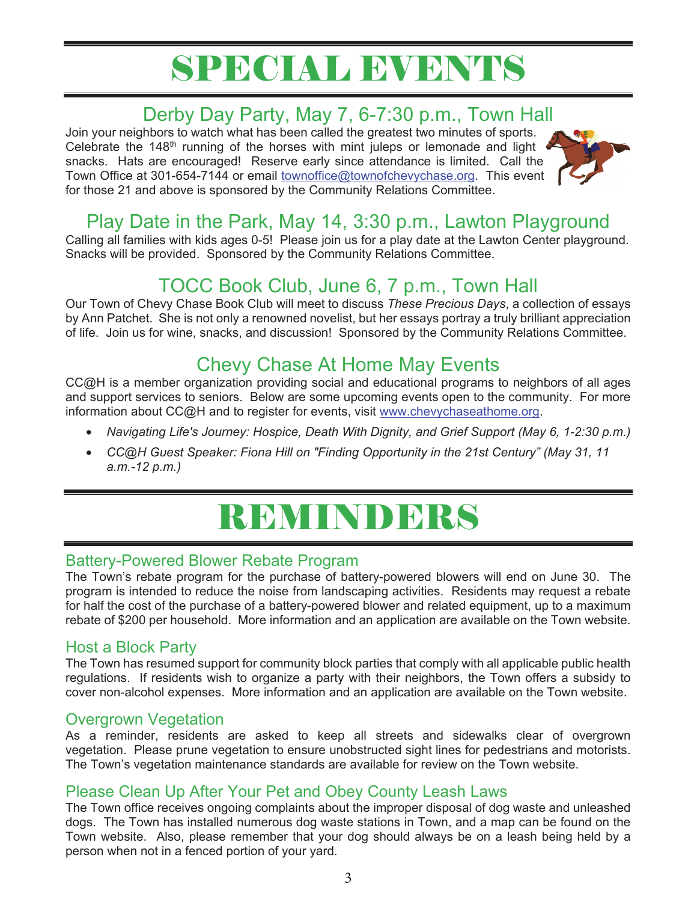# SPECIAL EVENTS

## Derby Day Party, May 7, 6-7:30 p.m., Town Hall

Join your neighbors to watch what has been called the greatest two minutes of sports. Celebrate the 148<sup>th</sup> running of the horses with mint juleps or lemonade and light snacks. Hats are encouraged! Reserve early since attendance is limited. Call the Town Office at 301-654-7144 or email townoffice@townofchevychase.org. This event for those 21 and above is sponsored by the Community Relations Committee.



#### Play Date in the Park, May 14, 3:30 p.m., Lawton Playground

Calling all families with kids ages 0-5! Please join us for a play date at the Lawton Center playground. Snacks will be provided. Sponsored by the Community Relations Committee.

## TOCC Book Club, June 6, 7 p.m., Town Hall

Our Town of Chevy Chase Book Club will meet to discuss *These Precious Days*, a collection of essays by Ann Patchet. She is not only a renowned novelist, but her essays portray a truly brilliant appreciation of life. Join us for wine, snacks, and discussion! Sponsored by the Community Relations Committee.

## Chevy Chase At Home May Events

CC@H is a member organization providing social and educational programs to neighbors of all ages and support services to seniors. Below are some upcoming events open to the community. For more information about CC@H and to register for events, visit www.chevychaseathome.org.

- *Navigating Life's Journey: Hospice, Death With Dignity, and Grief Support (May 6, 1-2:30 p.m.)*
- *CC@H Guest Speaker: Fiona Hill on "Finding Opportunity in the 21st Century" (May 31, 11 a.m.-12 p.m.)*

# REMINDERS

#### Battery-Powered Blower Rebate Program

The Town's rebate program for the purchase of battery-powered blowers will end on June 30. The program is intended to reduce the noise from landscaping activities. Residents may request a rebate for half the cost of the purchase of a battery-powered blower and related equipment, up to a maximum rebate of \$200 per household. More information and an application are available on the Town website.

#### Host a Block Party

The Town has resumed support for community block parties that comply with all applicable public health regulations. If residents wish to organize a party with their neighbors, the Town offers a subsidy to cover non-alcohol expenses. More information and an application are available on the Town website.

#### Overgrown Vegetation

As a reminder, residents are asked to keep all streets and sidewalks clear of overgrown vegetation. Please prune vegetation to ensure unobstructed sight lines for pedestrians and motorists. The Town's vegetation maintenance standards are available for review on the Town website.

#### Please Clean Up After Your Pet and Obey County Leash Laws

The Town office receives ongoing complaints about the improper disposal of dog waste and unleashed dogs. The Town has installed numerous dog waste stations in Town, and a map can be found on the Town website. Also, please remember that your dog should always be on a leash being held by a person when not in a fenced portion of your yard.